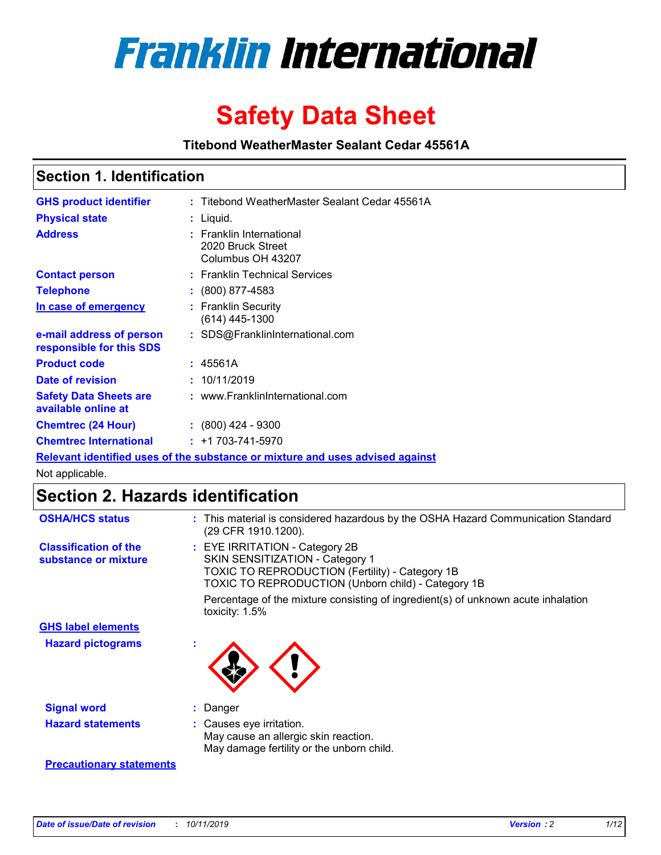

# **Safety Data Sheet**

**Titebond WeatherMaster Sealant Cedar 45561A**

### **Section 1. Identification**

| <b>GHS product identifier</b>                        | : Titebond WeatherMaster Sealant Cedar 45561A                                 |
|------------------------------------------------------|-------------------------------------------------------------------------------|
| <b>Physical state</b>                                | : Liquid.                                                                     |
| <b>Address</b>                                       | : Franklin International<br>2020 Bruck Street<br>Columbus OH 43207            |
| <b>Contact person</b>                                | : Franklin Technical Services                                                 |
| <b>Telephone</b>                                     | $\div$ (800) 877-4583                                                         |
| In case of emergency                                 | : Franklin Security<br>(614) 445-1300                                         |
| e-mail address of person<br>responsible for this SDS | : SDS@FranklinInternational.com                                               |
| <b>Product code</b>                                  | : 45561A                                                                      |
| Date of revision                                     | : 10/11/2019                                                                  |
| <b>Safety Data Sheets are</b><br>available online at | : www.FranklinInternational.com                                               |
| <b>Chemtrec (24 Hour)</b>                            | $\div$ (800) 424 - 9300                                                       |
| <b>Chemtrec International</b>                        | $: +1703 - 741 - 5970$                                                        |
|                                                      | Relevant identified uses of the substance or mixture and uses advised against |

Not applicable.

## **Section 2. Hazards identification**

| <b>OSHA/HCS status</b>                               | : This material is considered hazardous by the OSHA Hazard Communication Standard<br>(29 CFR 1910.1200).                                                                          |
|------------------------------------------------------|-----------------------------------------------------------------------------------------------------------------------------------------------------------------------------------|
| <b>Classification of the</b><br>substance or mixture | : EYE IRRITATION - Category 2B<br>SKIN SENSITIZATION - Category 1<br><b>TOXIC TO REPRODUCTION (Fertility) - Category 1B</b><br>TOXIC TO REPRODUCTION (Unborn child) - Category 1B |
|                                                      | Percentage of the mixture consisting of ingredient(s) of unknown acute inhalation<br>toxicity: $1.5\%$                                                                            |
| <b>GHS label elements</b>                            |                                                                                                                                                                                   |
| <b>Hazard pictograms</b>                             |                                                                                                                                                                                   |
| <b>Signal word</b>                                   | : Danger                                                                                                                                                                          |
| <b>Hazard statements</b>                             | : Causes eye irritation.<br>May cause an allergic skin reaction.<br>May damage fertility or the unborn child.                                                                     |
| <b>Precautionary statements</b>                      |                                                                                                                                                                                   |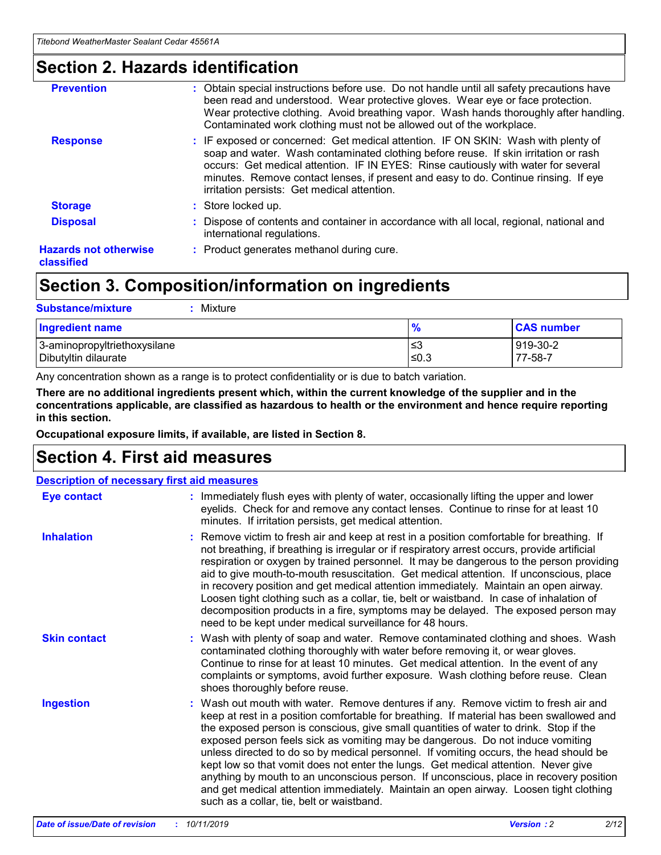### **Section 2. Hazards identification**

| <b>Prevention</b>                          | : Obtain special instructions before use. Do not handle until all safety precautions have<br>been read and understood. Wear protective gloves. Wear eye or face protection.<br>Wear protective clothing. Avoid breathing vapor. Wash hands thoroughly after handling.<br>Contaminated work clothing must not be allowed out of the workplace.                                                        |
|--------------------------------------------|------------------------------------------------------------------------------------------------------------------------------------------------------------------------------------------------------------------------------------------------------------------------------------------------------------------------------------------------------------------------------------------------------|
| <b>Response</b>                            | : IF exposed or concerned: Get medical attention. IF ON SKIN: Wash with plenty of<br>soap and water. Wash contaminated clothing before reuse. If skin irritation or rash<br>occurs: Get medical attention. IF IN EYES: Rinse cautiously with water for several<br>minutes. Remove contact lenses, if present and easy to do. Continue rinsing. If eye<br>irritation persists: Get medical attention. |
| <b>Storage</b>                             | : Store locked up.                                                                                                                                                                                                                                                                                                                                                                                   |
| <b>Disposal</b>                            | : Dispose of contents and container in accordance with all local, regional, national and<br>international regulations.                                                                                                                                                                                                                                                                               |
| <b>Hazards not otherwise</b><br>classified | : Product generates methanol during cure.                                                                                                                                                                                                                                                                                                                                                            |
|                                            |                                                                                                                                                                                                                                                                                                                                                                                                      |

### **Section 3. Composition/information on ingredients**

| <b>Substance/mixture</b><br>: Mixture                |               |                     |
|------------------------------------------------------|---------------|---------------------|
| Ingredient name                                      | $\frac{9}{6}$ | <b>CAS number</b>   |
| 3-aminopropyltriethoxysilane<br>Dibutyltin dilaurate | צ≥<br>≤0.3    | 919-30-2<br>77-58-7 |

Any concentration shown as a range is to protect confidentiality or is due to batch variation.

**There are no additional ingredients present which, within the current knowledge of the supplier and in the concentrations applicable, are classified as hazardous to health or the environment and hence require reporting in this section.**

**Occupational exposure limits, if available, are listed in Section 8.**

### **Section 4. First aid measures**

| <b>Description of necessary first aid measures</b> |                                                                                                                                                                                                                                                                                                                                                                                                                                                                                                                                                                                                                                                                                                                                                                           |  |  |  |
|----------------------------------------------------|---------------------------------------------------------------------------------------------------------------------------------------------------------------------------------------------------------------------------------------------------------------------------------------------------------------------------------------------------------------------------------------------------------------------------------------------------------------------------------------------------------------------------------------------------------------------------------------------------------------------------------------------------------------------------------------------------------------------------------------------------------------------------|--|--|--|
| <b>Eye contact</b>                                 | : Immediately flush eyes with plenty of water, occasionally lifting the upper and lower<br>eyelids. Check for and remove any contact lenses. Continue to rinse for at least 10<br>minutes. If irritation persists, get medical attention.                                                                                                                                                                                                                                                                                                                                                                                                                                                                                                                                 |  |  |  |
| <b>Inhalation</b>                                  | : Remove victim to fresh air and keep at rest in a position comfortable for breathing. If<br>not breathing, if breathing is irregular or if respiratory arrest occurs, provide artificial<br>respiration or oxygen by trained personnel. It may be dangerous to the person providing<br>aid to give mouth-to-mouth resuscitation. Get medical attention. If unconscious, place<br>in recovery position and get medical attention immediately. Maintain an open airway.<br>Loosen tight clothing such as a collar, tie, belt or waistband. In case of inhalation of<br>decomposition products in a fire, symptoms may be delayed. The exposed person may<br>need to be kept under medical surveillance for 48 hours.                                                       |  |  |  |
| <b>Skin contact</b>                                | : Wash with plenty of soap and water. Remove contaminated clothing and shoes. Wash<br>contaminated clothing thoroughly with water before removing it, or wear gloves.<br>Continue to rinse for at least 10 minutes. Get medical attention. In the event of any<br>complaints or symptoms, avoid further exposure. Wash clothing before reuse. Clean<br>shoes thoroughly before reuse.                                                                                                                                                                                                                                                                                                                                                                                     |  |  |  |
| <b>Ingestion</b>                                   | : Wash out mouth with water. Remove dentures if any. Remove victim to fresh air and<br>keep at rest in a position comfortable for breathing. If material has been swallowed and<br>the exposed person is conscious, give small quantities of water to drink. Stop if the<br>exposed person feels sick as vomiting may be dangerous. Do not induce vomiting<br>unless directed to do so by medical personnel. If vomiting occurs, the head should be<br>kept low so that vomit does not enter the lungs. Get medical attention. Never give<br>anything by mouth to an unconscious person. If unconscious, place in recovery position<br>and get medical attention immediately. Maintain an open airway. Loosen tight clothing<br>such as a collar, tie, belt or waistband. |  |  |  |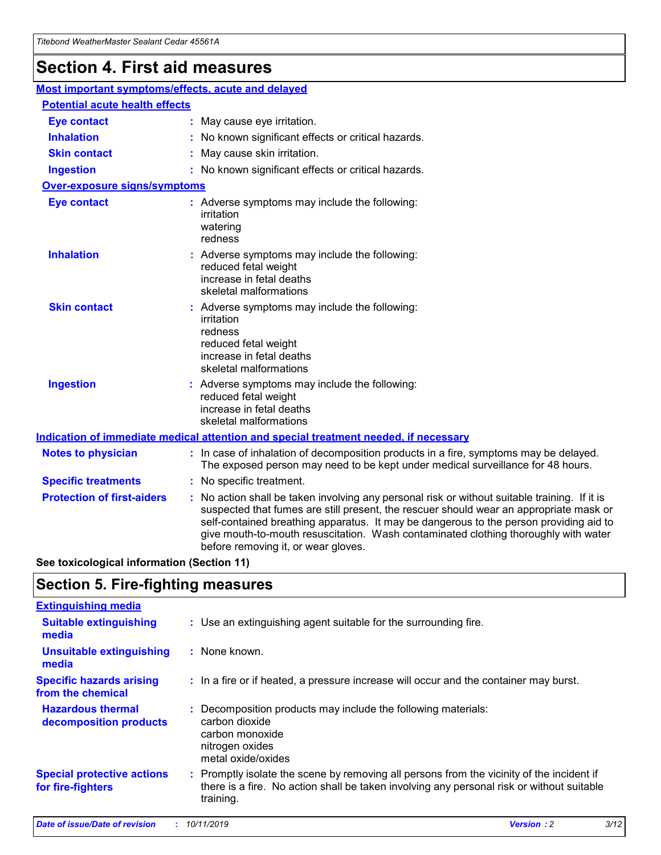## **Section 4. First aid measures**

| Most important symptoms/effects, acute and delayed |                                       |                                                                                                                                                                                                                                                                                                                                                                                                                 |  |  |  |
|----------------------------------------------------|---------------------------------------|-----------------------------------------------------------------------------------------------------------------------------------------------------------------------------------------------------------------------------------------------------------------------------------------------------------------------------------------------------------------------------------------------------------------|--|--|--|
|                                                    | <b>Potential acute health effects</b> |                                                                                                                                                                                                                                                                                                                                                                                                                 |  |  |  |
| <b>Eye contact</b>                                 |                                       | : May cause eye irritation.                                                                                                                                                                                                                                                                                                                                                                                     |  |  |  |
| <b>Inhalation</b>                                  |                                       | : No known significant effects or critical hazards.                                                                                                                                                                                                                                                                                                                                                             |  |  |  |
| <b>Skin contact</b>                                |                                       | : May cause skin irritation.                                                                                                                                                                                                                                                                                                                                                                                    |  |  |  |
| <b>Ingestion</b>                                   |                                       | : No known significant effects or critical hazards.                                                                                                                                                                                                                                                                                                                                                             |  |  |  |
| <b>Over-exposure signs/symptoms</b>                |                                       |                                                                                                                                                                                                                                                                                                                                                                                                                 |  |  |  |
| <b>Eye contact</b>                                 |                                       | : Adverse symptoms may include the following:<br>irritation<br>watering<br>redness                                                                                                                                                                                                                                                                                                                              |  |  |  |
| <b>Inhalation</b>                                  |                                       | : Adverse symptoms may include the following:<br>reduced fetal weight<br>increase in fetal deaths<br>skeletal malformations                                                                                                                                                                                                                                                                                     |  |  |  |
| <b>Skin contact</b>                                |                                       | : Adverse symptoms may include the following:<br>irritation<br>redness<br>reduced fetal weight<br>increase in fetal deaths<br>skeletal malformations                                                                                                                                                                                                                                                            |  |  |  |
| <b>Ingestion</b>                                   |                                       | : Adverse symptoms may include the following:<br>reduced fetal weight<br>increase in fetal deaths<br>skeletal malformations                                                                                                                                                                                                                                                                                     |  |  |  |
|                                                    |                                       | <b>Indication of immediate medical attention and special treatment needed, if necessary</b>                                                                                                                                                                                                                                                                                                                     |  |  |  |
| <b>Notes to physician</b>                          |                                       | : In case of inhalation of decomposition products in a fire, symptoms may be delayed.<br>The exposed person may need to be kept under medical surveillance for 48 hours.                                                                                                                                                                                                                                        |  |  |  |
| <b>Specific treatments</b>                         |                                       | : No specific treatment.                                                                                                                                                                                                                                                                                                                                                                                        |  |  |  |
| <b>Protection of first-aiders</b>                  |                                       | : No action shall be taken involving any personal risk or without suitable training. If it is<br>suspected that fumes are still present, the rescuer should wear an appropriate mask or<br>self-contained breathing apparatus. It may be dangerous to the person providing aid to<br>give mouth-to-mouth resuscitation. Wash contaminated clothing thoroughly with water<br>before removing it, or wear gloves. |  |  |  |

**See toxicological information (Section 11)**

### **Section 5. Fire-fighting measures**

| <b>Extinguishing media</b>                             |                                                                                                                                                                                                     |
|--------------------------------------------------------|-----------------------------------------------------------------------------------------------------------------------------------------------------------------------------------------------------|
| <b>Suitable extinguishing</b><br>media                 | : Use an extinguishing agent suitable for the surrounding fire.                                                                                                                                     |
| <b>Unsuitable extinguishing</b><br>media               | : None known.                                                                                                                                                                                       |
| <b>Specific hazards arising</b><br>from the chemical   | : In a fire or if heated, a pressure increase will occur and the container may burst.                                                                                                               |
| <b>Hazardous thermal</b><br>decomposition products     | : Decomposition products may include the following materials:<br>carbon dioxide<br>carbon monoxide<br>nitrogen oxides<br>metal oxide/oxides                                                         |
| <b>Special protective actions</b><br>for fire-fighters | : Promptly isolate the scene by removing all persons from the vicinity of the incident if<br>there is a fire. No action shall be taken involving any personal risk or without suitable<br>training. |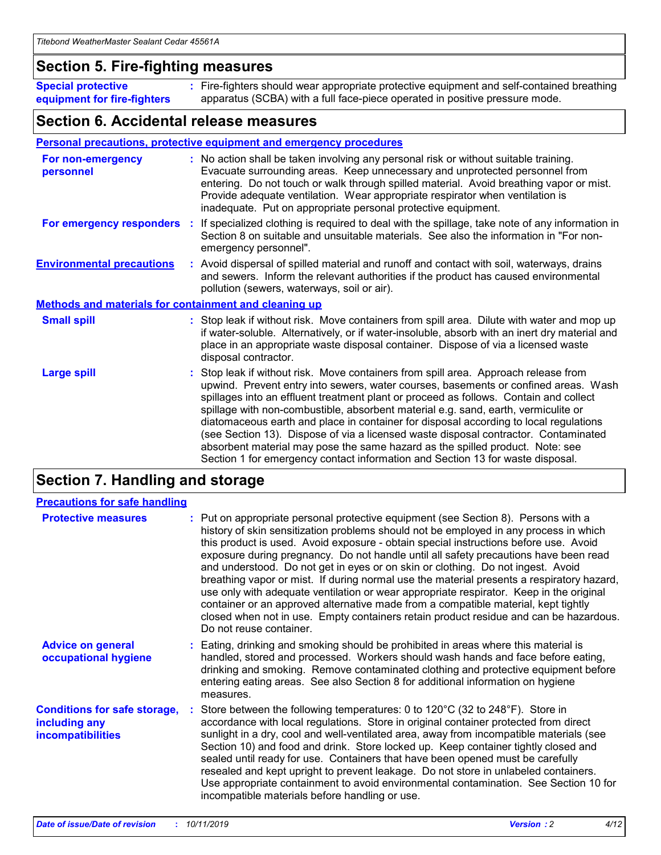### **Section 5. Fire-fighting measures**

**Special protective equipment for fire-fighters** Fire-fighters should wear appropriate protective equipment and self-contained breathing **:** apparatus (SCBA) with a full face-piece operated in positive pressure mode.

### **Section 6. Accidental release measures**

#### **Personal precautions, protective equipment and emergency procedures**

| For non-emergency<br>personnel                               | : No action shall be taken involving any personal risk or without suitable training.<br>Evacuate surrounding areas. Keep unnecessary and unprotected personnel from<br>entering. Do not touch or walk through spilled material. Avoid breathing vapor or mist.<br>Provide adequate ventilation. Wear appropriate respirator when ventilation is<br>inadequate. Put on appropriate personal protective equipment.                                                                                                                                                                                                                                                                                             |
|--------------------------------------------------------------|--------------------------------------------------------------------------------------------------------------------------------------------------------------------------------------------------------------------------------------------------------------------------------------------------------------------------------------------------------------------------------------------------------------------------------------------------------------------------------------------------------------------------------------------------------------------------------------------------------------------------------------------------------------------------------------------------------------|
|                                                              | For emergency responders : If specialized clothing is required to deal with the spillage, take note of any information in<br>Section 8 on suitable and unsuitable materials. See also the information in "For non-<br>emergency personnel".                                                                                                                                                                                                                                                                                                                                                                                                                                                                  |
| <b>Environmental precautions</b>                             | : Avoid dispersal of spilled material and runoff and contact with soil, waterways, drains<br>and sewers. Inform the relevant authorities if the product has caused environmental<br>pollution (sewers, waterways, soil or air).                                                                                                                                                                                                                                                                                                                                                                                                                                                                              |
| <b>Methods and materials for containment and cleaning up</b> |                                                                                                                                                                                                                                                                                                                                                                                                                                                                                                                                                                                                                                                                                                              |
| <b>Small spill</b>                                           | : Stop leak if without risk. Move containers from spill area. Dilute with water and mop up<br>if water-soluble. Alternatively, or if water-insoluble, absorb with an inert dry material and<br>place in an appropriate waste disposal container. Dispose of via a licensed waste<br>disposal contractor.                                                                                                                                                                                                                                                                                                                                                                                                     |
| <b>Large spill</b>                                           | : Stop leak if without risk. Move containers from spill area. Approach release from<br>upwind. Prevent entry into sewers, water courses, basements or confined areas. Wash<br>spillages into an effluent treatment plant or proceed as follows. Contain and collect<br>spillage with non-combustible, absorbent material e.g. sand, earth, vermiculite or<br>diatomaceous earth and place in container for disposal according to local regulations<br>(see Section 13). Dispose of via a licensed waste disposal contractor. Contaminated<br>absorbent material may pose the same hazard as the spilled product. Note: see<br>Section 1 for emergency contact information and Section 13 for waste disposal. |

### **Section 7. Handling and storage**

| <b>Precautions for safe handling</b>                                             |                                                                                                                                                                                                                                                                                                                                                                                                                                                                                                                                                                                                                                                                                                                                                                                                                                                  |
|----------------------------------------------------------------------------------|--------------------------------------------------------------------------------------------------------------------------------------------------------------------------------------------------------------------------------------------------------------------------------------------------------------------------------------------------------------------------------------------------------------------------------------------------------------------------------------------------------------------------------------------------------------------------------------------------------------------------------------------------------------------------------------------------------------------------------------------------------------------------------------------------------------------------------------------------|
| <b>Protective measures</b>                                                       | : Put on appropriate personal protective equipment (see Section 8). Persons with a<br>history of skin sensitization problems should not be employed in any process in which<br>this product is used. Avoid exposure - obtain special instructions before use. Avoid<br>exposure during pregnancy. Do not handle until all safety precautions have been read<br>and understood. Do not get in eyes or on skin or clothing. Do not ingest. Avoid<br>breathing vapor or mist. If during normal use the material presents a respiratory hazard,<br>use only with adequate ventilation or wear appropriate respirator. Keep in the original<br>container or an approved alternative made from a compatible material, kept tightly<br>closed when not in use. Empty containers retain product residue and can be hazardous.<br>Do not reuse container. |
| <b>Advice on general</b><br>occupational hygiene                                 | : Eating, drinking and smoking should be prohibited in areas where this material is<br>handled, stored and processed. Workers should wash hands and face before eating,<br>drinking and smoking. Remove contaminated clothing and protective equipment before<br>entering eating areas. See also Section 8 for additional information on hygiene<br>measures.                                                                                                                                                                                                                                                                                                                                                                                                                                                                                    |
| <b>Conditions for safe storage,</b><br>including any<br><b>incompatibilities</b> | Store between the following temperatures: 0 to 120°C (32 to 248°F). Store in<br>accordance with local regulations. Store in original container protected from direct<br>sunlight in a dry, cool and well-ventilated area, away from incompatible materials (see<br>Section 10) and food and drink. Store locked up. Keep container tightly closed and<br>sealed until ready for use. Containers that have been opened must be carefully<br>resealed and kept upright to prevent leakage. Do not store in unlabeled containers.<br>Use appropriate containment to avoid environmental contamination. See Section 10 for<br>incompatible materials before handling or use.                                                                                                                                                                         |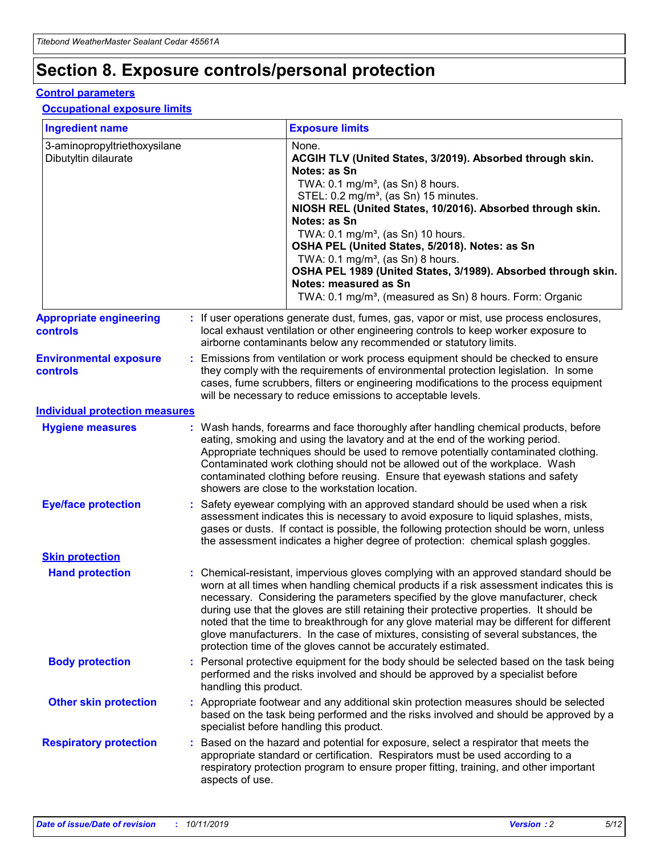## **Section 8. Exposure controls/personal protection**

#### **Control parameters**

#### **Occupational exposure limits**

| <b>Ingredient name</b>                               |    |                        | <b>Exposure limits</b>                                                                                                                                                                                                                                                                                                                                                                                                                                                                                                                                                                                                 |
|------------------------------------------------------|----|------------------------|------------------------------------------------------------------------------------------------------------------------------------------------------------------------------------------------------------------------------------------------------------------------------------------------------------------------------------------------------------------------------------------------------------------------------------------------------------------------------------------------------------------------------------------------------------------------------------------------------------------------|
| 3-aminopropyltriethoxysilane<br>Dibutyltin dilaurate |    |                        | None.<br>ACGIH TLV (United States, 3/2019). Absorbed through skin.<br>Notes: as Sn<br>TWA: $0.1 \text{ mg/m}^3$ , (as Sn) 8 hours.<br>STEL: 0.2 mg/m <sup>3</sup> , (as Sn) 15 minutes.<br>NIOSH REL (United States, 10/2016). Absorbed through skin.<br>Notes: as Sn<br>TWA: 0.1 mg/m <sup>3</sup> , (as Sn) 10 hours.<br>OSHA PEL (United States, 5/2018). Notes: as Sn<br>TWA: 0.1 mg/m <sup>3</sup> , (as Sn) 8 hours.<br>OSHA PEL 1989 (United States, 3/1989). Absorbed through skin.<br>Notes: measured as Sn<br>TWA: 0.1 mg/m <sup>3</sup> , (measured as Sn) 8 hours. Form: Organic                           |
| <b>Appropriate engineering</b><br>controls           |    |                        | : If user operations generate dust, fumes, gas, vapor or mist, use process enclosures,<br>local exhaust ventilation or other engineering controls to keep worker exposure to<br>airborne contaminants below any recommended or statutory limits.                                                                                                                                                                                                                                                                                                                                                                       |
| <b>Environmental exposure</b><br>controls            |    |                        | Emissions from ventilation or work process equipment should be checked to ensure<br>they comply with the requirements of environmental protection legislation. In some<br>cases, fume scrubbers, filters or engineering modifications to the process equipment<br>will be necessary to reduce emissions to acceptable levels.                                                                                                                                                                                                                                                                                          |
| <b>Individual protection measures</b>                |    |                        |                                                                                                                                                                                                                                                                                                                                                                                                                                                                                                                                                                                                                        |
| <b>Hygiene measures</b>                              |    |                        | : Wash hands, forearms and face thoroughly after handling chemical products, before<br>eating, smoking and using the lavatory and at the end of the working period.<br>Appropriate techniques should be used to remove potentially contaminated clothing.<br>Contaminated work clothing should not be allowed out of the workplace. Wash<br>contaminated clothing before reusing. Ensure that eyewash stations and safety<br>showers are close to the workstation location.                                                                                                                                            |
| <b>Eye/face protection</b>                           |    |                        | Safety eyewear complying with an approved standard should be used when a risk<br>assessment indicates this is necessary to avoid exposure to liquid splashes, mists,<br>gases or dusts. If contact is possible, the following protection should be worn, unless<br>the assessment indicates a higher degree of protection: chemical splash goggles.                                                                                                                                                                                                                                                                    |
| <b>Skin protection</b>                               |    |                        |                                                                                                                                                                                                                                                                                                                                                                                                                                                                                                                                                                                                                        |
| <b>Hand protection</b>                               |    |                        | : Chemical-resistant, impervious gloves complying with an approved standard should be<br>worn at all times when handling chemical products if a risk assessment indicates this is<br>necessary. Considering the parameters specified by the glove manufacturer, check<br>during use that the gloves are still retaining their protective properties. It should be<br>noted that the time to breakthrough for any glove material may be different for different<br>glove manufacturers. In the case of mixtures, consisting of several substances, the<br>protection time of the gloves cannot be accurately estimated. |
| <b>Body protection</b>                               |    | handling this product. | Personal protective equipment for the body should be selected based on the task being<br>performed and the risks involved and should be approved by a specialist before                                                                                                                                                                                                                                                                                                                                                                                                                                                |
| <b>Other skin protection</b>                         |    |                        | : Appropriate footwear and any additional skin protection measures should be selected<br>based on the task being performed and the risks involved and should be approved by a<br>specialist before handling this product.                                                                                                                                                                                                                                                                                                                                                                                              |
| <b>Respiratory protection</b>                        | ÷. | aspects of use.        | Based on the hazard and potential for exposure, select a respirator that meets the<br>appropriate standard or certification. Respirators must be used according to a<br>respiratory protection program to ensure proper fitting, training, and other important                                                                                                                                                                                                                                                                                                                                                         |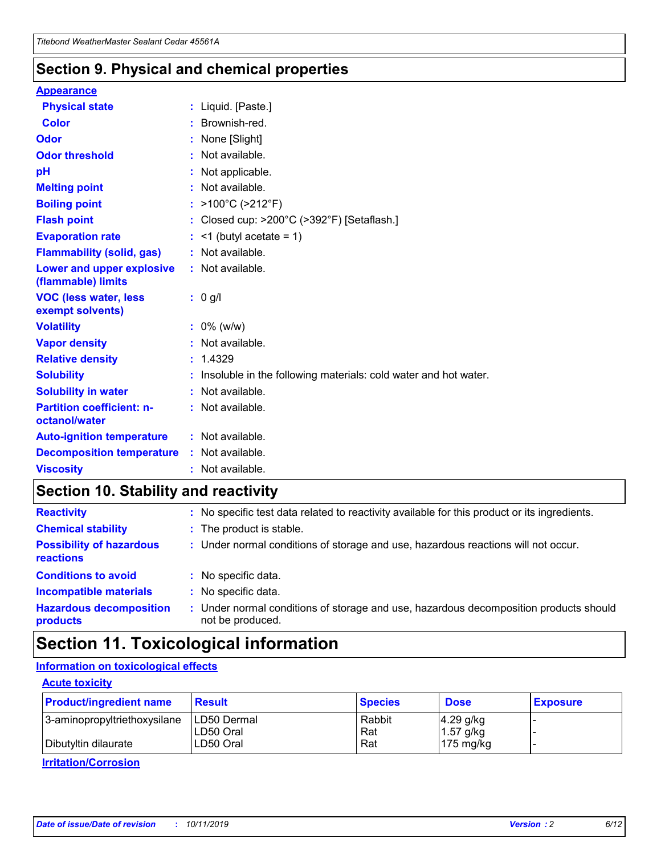### **Section 9. Physical and chemical properties**

#### **Appearance**

| <b>Physical state</b>                             | : Liquid. [Paste.]                                                |
|---------------------------------------------------|-------------------------------------------------------------------|
| <b>Color</b>                                      | : Brownish-red.                                                   |
| Odor                                              | : None [Slight]                                                   |
| <b>Odor threshold</b>                             | : Not available.                                                  |
| pH                                                | : Not applicable.                                                 |
| <b>Melting point</b>                              | : Not available.                                                  |
| <b>Boiling point</b>                              | : >100°C (>212°F)                                                 |
| <b>Flash point</b>                                | : Closed cup: >200°C (>392°F) [Setaflash.]                        |
| <b>Evaporation rate</b>                           | $:$ <1 (butyl acetate = 1)                                        |
| <b>Flammability (solid, gas)</b>                  | : Not available.                                                  |
| Lower and upper explosive<br>(flammable) limits   | : Not available.                                                  |
| <b>VOC (less water, less)</b><br>exempt solvents) | $: 0$ g/l                                                         |
| <b>Volatility</b>                                 | $: 0\%$ (w/w)                                                     |
| <b>Vapor density</b>                              | : Not available.                                                  |
| <b>Relative density</b>                           | : 1.4329                                                          |
| <b>Solubility</b>                                 | : Insoluble in the following materials: cold water and hot water. |
| <b>Solubility in water</b>                        | : Not available.                                                  |
| <b>Partition coefficient: n-</b><br>octanol/water | : Not available.                                                  |
| <b>Auto-ignition temperature</b>                  | : Not available.                                                  |
| <b>Decomposition temperature</b>                  | $:$ Not available.                                                |
|                                                   |                                                                   |

### **Section 10. Stability and reactivity**

| <b>Reactivity</b>                            |    | : No specific test data related to reactivity available for this product or its ingredients.            |
|----------------------------------------------|----|---------------------------------------------------------------------------------------------------------|
| <b>Chemical stability</b>                    |    | : The product is stable.                                                                                |
| <b>Possibility of hazardous</b><br>reactions |    | : Under normal conditions of storage and use, hazardous reactions will not occur.                       |
| <b>Conditions to avoid</b>                   |    | : No specific data.                                                                                     |
| <b>Incompatible materials</b>                | ٠. | No specific data.                                                                                       |
| <b>Hazardous decomposition</b><br>products   | ÷. | Under normal conditions of storage and use, hazardous decomposition products should<br>not be produced. |

### **Section 11. Toxicological information**

### **Information on toxicological effects**

#### **Acute toxicity**

| <b>Product/ingredient name</b> | <b>Result</b>           | <b>Species</b> | <b>Dose</b>                | <b>Exposure</b> |
|--------------------------------|-------------------------|----------------|----------------------------|-----------------|
| 3-aminopropyltriethoxysilane   | <b>ILD50 Dermal</b>     | Rabbit         | 4.29 g/kg                  |                 |
| Dibutyltin dilaurate           | ILD50 Oral<br>LD50 Oral | Rat<br>Rat     | $1.57$ g/kg<br>175 $mg/kg$ |                 |
|                                |                         |                |                            |                 |

**Irritation/Corrosion**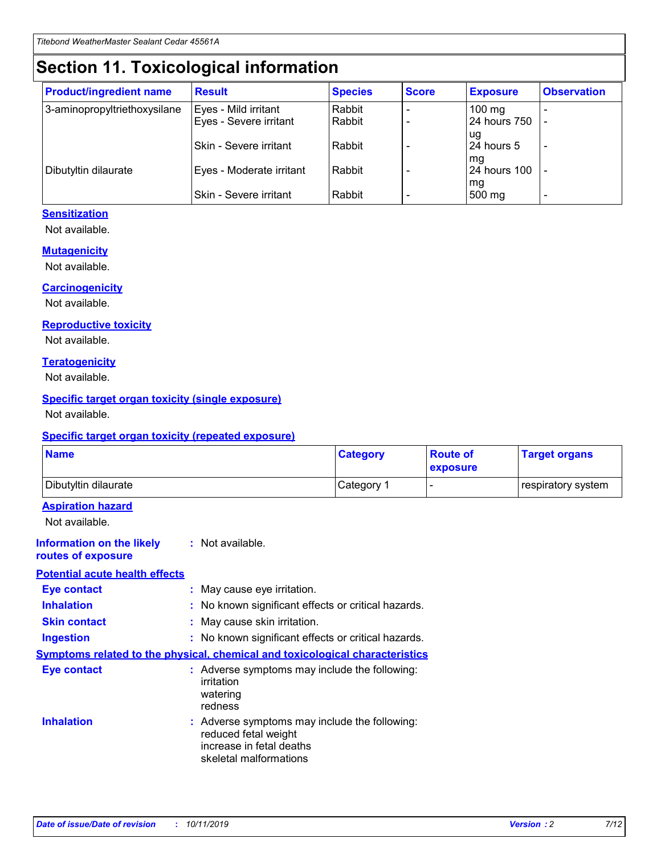## **Section 11. Toxicological information**

| <b>Product/ingredient name</b> | <b>Result</b>            | <b>Species</b> | <b>Score</b> | <b>Exposure</b>           | <b>Observation</b> |
|--------------------------------|--------------------------|----------------|--------------|---------------------------|--------------------|
| 3-aminopropyltriethoxysilane   | Eyes - Mild irritant     | Rabbit         |              | $100$ mg                  |                    |
|                                | Eyes - Severe irritant   | Rabbit         |              | 24 hours 750              |                    |
|                                |                          |                |              | ug                        |                    |
|                                | Skin - Severe irritant   | Rabbit         |              | 24 hours 5                | -                  |
| Dibutyltin dilaurate           | Eyes - Moderate irritant | Rabbit         |              | mq<br><b>24 hours 100</b> |                    |
|                                |                          |                |              | mg                        |                    |
|                                | Skin - Severe irritant   | Rabbit         |              | 500 mg                    |                    |

#### **Sensitization**

Not available.

#### **Mutagenicity**

Not available.

#### **Carcinogenicity**

Not available.

#### **Reproductive toxicity**

Not available.

#### **Teratogenicity**

Not available.

#### **Specific target organ toxicity (single exposure)**

Not available.

#### **Specific target organ toxicity (repeated exposure)**

| <b>Name</b>                                                                  |                                                                                                                             | <b>Category</b> | <b>Route of</b><br>exposure  | <b>Target organs</b> |
|------------------------------------------------------------------------------|-----------------------------------------------------------------------------------------------------------------------------|-----------------|------------------------------|----------------------|
| Dibutyltin dilaurate                                                         |                                                                                                                             | Category 1      | $\qquad \qquad \blacksquare$ | respiratory system   |
| <b>Aspiration hazard</b><br>Not available.                                   |                                                                                                                             |                 |                              |                      |
| <b>Information on the likely</b><br>routes of exposure                       | : Not available.                                                                                                            |                 |                              |                      |
| <b>Potential acute health effects</b>                                        |                                                                                                                             |                 |                              |                      |
| <b>Eye contact</b>                                                           | : May cause eye irritation.                                                                                                 |                 |                              |                      |
| <b>Inhalation</b>                                                            | : No known significant effects or critical hazards.                                                                         |                 |                              |                      |
| <b>Skin contact</b>                                                          | : May cause skin irritation.                                                                                                |                 |                              |                      |
| <b>Ingestion</b>                                                             | : No known significant effects or critical hazards.                                                                         |                 |                              |                      |
| Symptoms related to the physical, chemical and toxicological characteristics |                                                                                                                             |                 |                              |                      |
| <b>Eye contact</b>                                                           | : Adverse symptoms may include the following:<br>irritation<br>watering<br>redness                                          |                 |                              |                      |
| <b>Inhalation</b>                                                            | : Adverse symptoms may include the following:<br>reduced fetal weight<br>increase in fetal deaths<br>skeletal malformations |                 |                              |                      |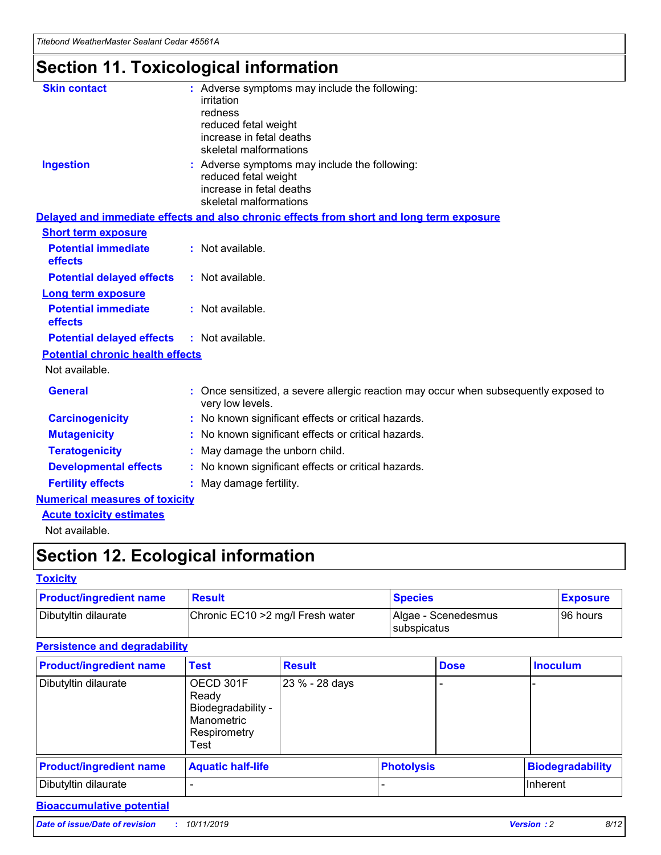## **Section 11. Toxicological information**

| <b>Skin contact</b>                     | : Adverse symptoms may include the following:<br>irritation<br>redness<br>reduced fetal weight<br>increase in fetal deaths<br>skeletal malformations |
|-----------------------------------------|------------------------------------------------------------------------------------------------------------------------------------------------------|
| <b>Ingestion</b>                        | : Adverse symptoms may include the following:<br>reduced fetal weight<br>increase in fetal deaths<br>skeletal malformations                          |
|                                         | Delayed and immediate effects and also chronic effects from short and long term exposure                                                             |
| <b>Short term exposure</b>              |                                                                                                                                                      |
| <b>Potential immediate</b><br>effects   | : Not available.                                                                                                                                     |
| <b>Potential delayed effects</b>        | : Not available.                                                                                                                                     |
| <b>Long term exposure</b>               |                                                                                                                                                      |
| <b>Potential immediate</b><br>effects   | : Not available.                                                                                                                                     |
| <b>Potential delayed effects</b>        | : Not available.                                                                                                                                     |
| <b>Potential chronic health effects</b> |                                                                                                                                                      |
| Not available.                          |                                                                                                                                                      |
| <b>General</b>                          | : Once sensitized, a severe allergic reaction may occur when subsequently exposed to<br>very low levels.                                             |
| <b>Carcinogenicity</b>                  | : No known significant effects or critical hazards.                                                                                                  |
| <b>Mutagenicity</b>                     | No known significant effects or critical hazards.                                                                                                    |
| <b>Teratogenicity</b>                   | May damage the unborn child.                                                                                                                         |
| <b>Developmental effects</b>            | No known significant effects or critical hazards.                                                                                                    |
| <b>Fertility effects</b>                | : May damage fertility.                                                                                                                              |
| <b>Numerical measures of toxicity</b>   |                                                                                                                                                      |
| <b>Acute toxicity estimates</b>         |                                                                                                                                                      |
|                                         |                                                                                                                                                      |

Not available.

## **Section 12. Ecological information**

#### **Toxicity**

| <b>Product/ingredient name</b> | <b>Result</b>                     | <b>Species</b>                       | <b>Exposure</b> |
|--------------------------------|-----------------------------------|--------------------------------------|-----------------|
| Dibutyltin dilaurate           | Chronic EC10 > 2 mg/l Fresh water | Algae - Scenedesmus<br>I subspicatus | l 96 hours i    |

### **Persistence and degradability**

| <b>Product/ingredient name</b> | <b>Test</b>                                                                    | <b>Result</b>  |                   | <b>Dose</b> | <b>Inoculum</b>         |
|--------------------------------|--------------------------------------------------------------------------------|----------------|-------------------|-------------|-------------------------|
| Dibutyltin dilaurate           | OECD 301F<br>Ready<br>Biodegradability -<br>Manometric<br>Respirometry<br>Test | 23 % - 28 days |                   |             |                         |
| <b>Product/ingredient name</b> | <b>Aquatic half-life</b>                                                       |                | <b>Photolysis</b> |             | <b>Biodegradability</b> |
| Dibutyltin dilaurate           |                                                                                |                |                   |             | Inherent                |

### **Bioaccumulative potential**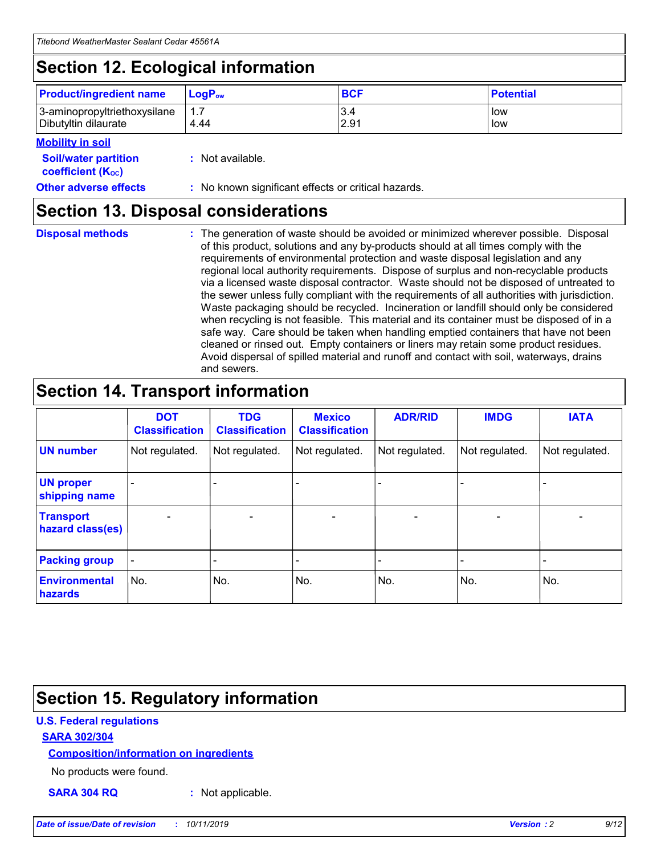## **Section 12. Ecological information**

| <b>Product/ingredient name</b>                       | ∣LoqP <sub>ow</sub> | <b>BCF</b>  | <b>Potential</b> |
|------------------------------------------------------|---------------------|-------------|------------------|
| 3-aminopropyltriethoxysilane<br>Dibutyltin dilaurate | 4.44                | 3.4<br>2.91 | low<br>low       |

#### **Mobility in soil**

| <i></i>                                                       |                                                     |
|---------------------------------------------------------------|-----------------------------------------------------|
| <b>Soil/water partition</b><br>coefficient (K <sub>oc</sub> ) | : Not available.                                    |
| <b>Other adverse effects</b>                                  | : No known significant effects or critical hazards. |

### **Section 13. Disposal considerations**

|  | <b>Disposal methods</b> |  |
|--|-------------------------|--|

**Disposal methods** : The generation of waste should be avoided or minimized wherever possible. Disposal of this product, solutions and any by-products should at all times comply with the requirements of environmental protection and waste disposal legislation and any regional local authority requirements. Dispose of surplus and non-recyclable products via a licensed waste disposal contractor. Waste should not be disposed of untreated to the sewer unless fully compliant with the requirements of all authorities with jurisdiction. Waste packaging should be recycled. Incineration or landfill should only be considered when recycling is not feasible. This material and its container must be disposed of in a safe way. Care should be taken when handling emptied containers that have not been cleaned or rinsed out. Empty containers or liners may retain some product residues. Avoid dispersal of spilled material and runoff and contact with soil, waterways, drains and sewers.

## **Section 14. Transport information**

|                                      | <b>DOT</b><br><b>Classification</b> | <b>TDG</b><br><b>Classification</b> | <b>Mexico</b><br><b>Classification</b> | <b>ADR/RID</b>           | <b>IMDG</b>              | <b>IATA</b>              |
|--------------------------------------|-------------------------------------|-------------------------------------|----------------------------------------|--------------------------|--------------------------|--------------------------|
| <b>UN number</b>                     | Not regulated.                      | Not regulated.                      | Not regulated.                         | Not regulated.           | Not regulated.           | Not regulated.           |
| <b>UN proper</b><br>shipping name    | $\qquad \qquad \blacksquare$        |                                     |                                        |                          |                          |                          |
| <b>Transport</b><br>hazard class(es) | $\blacksquare$                      | $\blacksquare$                      | $\blacksquare$                         | $\overline{\phantom{a}}$ | $\blacksquare$           | $\blacksquare$           |
| <b>Packing group</b>                 | $\overline{\phantom{a}}$            | $\overline{\phantom{0}}$            | $\qquad \qquad \blacksquare$           | -                        | $\overline{\phantom{0}}$ | $\overline{\phantom{a}}$ |
| <b>Environmental</b><br>hazards      | No.                                 | No.                                 | No.                                    | No.                      | No.                      | No.                      |

## **Section 15. Regulatory information**

#### **U.S. Federal regulations**

#### **SARA 302/304**

#### **Composition/information on ingredients**

No products were found.

**SARA 304 RQ :** Not applicable.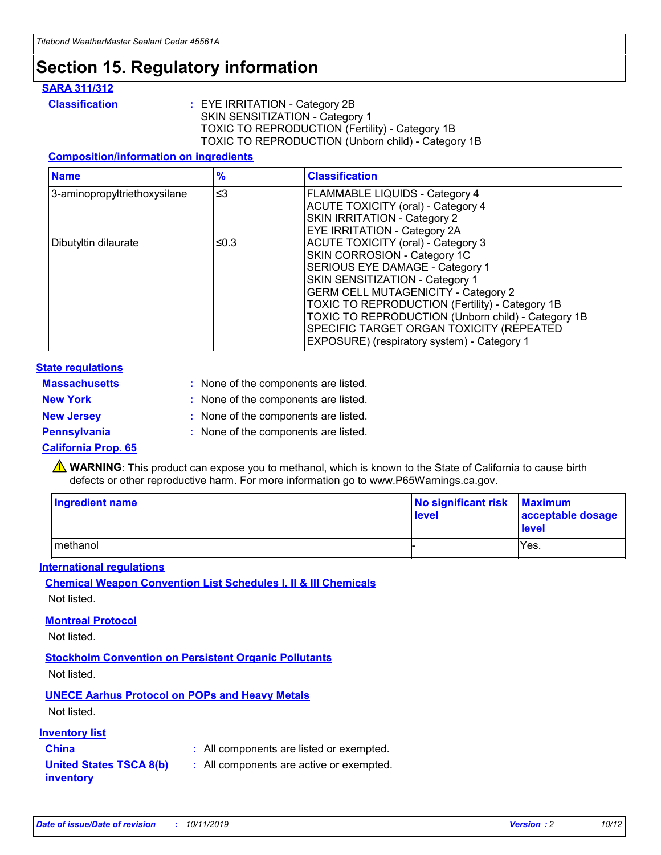## **Section 15. Regulatory information**

#### **SARA 311/312**

**Classification :** EYE IRRITATION - Category 2B SKIN SENSITIZATION - Category 1 TOXIC TO REPRODUCTION (Fertility) - Category 1B TOXIC TO REPRODUCTION (Unborn child) - Category 1B

#### **Composition/information on ingredients**

| <b>Name</b>                  | $\frac{9}{6}$ | <b>Classification</b>                                                                                            |
|------------------------------|---------------|------------------------------------------------------------------------------------------------------------------|
| 3-aminopropyltriethoxysilane | $\leq$ 3      | <b>FLAMMABLE LIQUIDS - Category 4</b><br><b>ACUTE TOXICITY (oral) - Category 4</b>                               |
|                              |               | SKIN IRRITATION - Category 2<br><b>EYE IRRITATION - Category 2A</b>                                              |
| Dibutyltin dilaurate         | ≤0.3          | ACUTE TOXICITY (oral) - Category 3<br>SKIN CORROSION - Category 1C                                               |
|                              |               | SERIOUS EYE DAMAGE - Category 1<br>SKIN SENSITIZATION - Category 1<br><b>GERM CELL MUTAGENICITY - Category 2</b> |
|                              |               | TOXIC TO REPRODUCTION (Fertility) - Category 1B<br>TOXIC TO REPRODUCTION (Unborn child) - Category 1B            |
|                              |               | SPECIFIC TARGET ORGAN TOXICITY (REPEATED<br>EXPOSURE) (respiratory system) - Category 1                          |

#### **State regulations**

| <b>Massachusetts</b> | : None of the components are listed. |
|----------------------|--------------------------------------|
| <b>New York</b>      | : None of the components are listed. |
| <b>New Jersey</b>    | : None of the components are listed. |
| <b>Pennsylvania</b>  | : None of the components are listed. |

#### **California Prop. 65**

**A** WARNING: This product can expose you to methanol, which is known to the State of California to cause birth defects or other reproductive harm. For more information go to www.P65Warnings.ca.gov.

| <b>Ingredient name</b> | No significant risk Maximum<br>level | acceptable dosage<br>level |
|------------------------|--------------------------------------|----------------------------|
| methanol               |                                      | Yes.                       |

#### **International regulations**

**Chemical Weapon Convention List Schedules I, II & III Chemicals** Not listed.

#### **Montreal Protocol**

Not listed.

**Stockholm Convention on Persistent Organic Pollutants**

Not listed.

### **UNECE Aarhus Protocol on POPs and Heavy Metals**

Not listed.

#### **Inventory list**

### **China :** All components are listed or exempted.

**United States TSCA 8(b) inventory :** All components are active or exempted.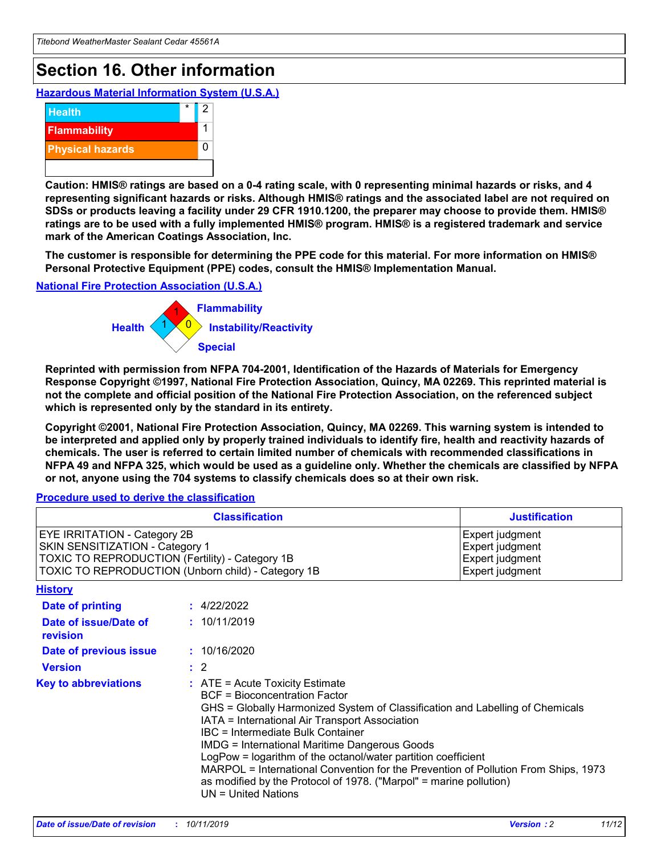## **Section 16. Other information**

**Hazardous Material Information System (U.S.A.)**



**Caution: HMIS® ratings are based on a 0-4 rating scale, with 0 representing minimal hazards or risks, and 4 representing significant hazards or risks. Although HMIS® ratings and the associated label are not required on SDSs or products leaving a facility under 29 CFR 1910.1200, the preparer may choose to provide them. HMIS® ratings are to be used with a fully implemented HMIS® program. HMIS® is a registered trademark and service mark of the American Coatings Association, Inc.**

**The customer is responsible for determining the PPE code for this material. For more information on HMIS® Personal Protective Equipment (PPE) codes, consult the HMIS® Implementation Manual.**

#### **National Fire Protection Association (U.S.A.)**



**Reprinted with permission from NFPA 704-2001, Identification of the Hazards of Materials for Emergency Response Copyright ©1997, National Fire Protection Association, Quincy, MA 02269. This reprinted material is not the complete and official position of the National Fire Protection Association, on the referenced subject which is represented only by the standard in its entirety.**

**Copyright ©2001, National Fire Protection Association, Quincy, MA 02269. This warning system is intended to be interpreted and applied only by properly trained individuals to identify fire, health and reactivity hazards of chemicals. The user is referred to certain limited number of chemicals with recommended classifications in NFPA 49 and NFPA 325, which would be used as a guideline only. Whether the chemicals are classified by NFPA or not, anyone using the 704 systems to classify chemicals does so at their own risk.**

#### **Procedure used to derive the classification**

|                                                                                                                                  | <b>Classification</b>                                                                                                                                                                                                                                                                                                                                                                                                                                                                                                                                                           | <b>Justification</b>                                                     |
|----------------------------------------------------------------------------------------------------------------------------------|---------------------------------------------------------------------------------------------------------------------------------------------------------------------------------------------------------------------------------------------------------------------------------------------------------------------------------------------------------------------------------------------------------------------------------------------------------------------------------------------------------------------------------------------------------------------------------|--------------------------------------------------------------------------|
| <b>EYE IRRITATION - Category 2B</b><br>SKIN SENSITIZATION - Category 1<br><b>TOXIC TO REPRODUCTION (Fertility) - Category 1B</b> | TOXIC TO REPRODUCTION (Unborn child) - Category 1B                                                                                                                                                                                                                                                                                                                                                                                                                                                                                                                              | Expert judgment<br>Expert judgment<br>Expert judgment<br>Expert judgment |
| <b>History</b>                                                                                                                   |                                                                                                                                                                                                                                                                                                                                                                                                                                                                                                                                                                                 |                                                                          |
| <b>Date of printing</b>                                                                                                          | : 4/22/2022                                                                                                                                                                                                                                                                                                                                                                                                                                                                                                                                                                     |                                                                          |
| Date of issue/Date of<br>revision                                                                                                | : 10/11/2019                                                                                                                                                                                                                                                                                                                                                                                                                                                                                                                                                                    |                                                                          |
| Date of previous issue                                                                                                           | : 10/16/2020                                                                                                                                                                                                                                                                                                                                                                                                                                                                                                                                                                    |                                                                          |
| <b>Version</b>                                                                                                                   | $\therefore$ 2                                                                                                                                                                                                                                                                                                                                                                                                                                                                                                                                                                  |                                                                          |
| <b>Key to abbreviations</b>                                                                                                      | $\therefore$ ATE = Acute Toxicity Estimate<br><b>BCF</b> = Bioconcentration Factor<br>GHS = Globally Harmonized System of Classification and Labelling of Chemicals<br>IATA = International Air Transport Association<br><b>IBC</b> = Intermediate Bulk Container<br><b>IMDG = International Maritime Dangerous Goods</b><br>LogPow = logarithm of the octanol/water partition coefficient<br>MARPOL = International Convention for the Prevention of Pollution From Ships, 1973<br>as modified by the Protocol of 1978. ("Marpol" = marine pollution)<br>$UN = United Nations$ |                                                                          |